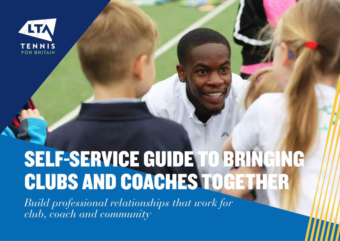

# SELF-SERVICE GUIDE TO BRINGING CLUBS AND COACHES TOGETHER

*Build professional relationships that work for club, coach and community*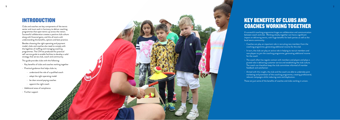### INTRODUCTION

Clubs and coaches are key components of the tennis sector and must work in harmony to deliver coaching programmes that open tennis up across the nation. Successful collaboration creates a positive club culture along with financial gains, and this all starts with understanding the benefits, options and best practice.

Besides choosing the right operating and payment model, clubs and coaches also need to comply with the legalities of staffing and managing coaching programmes. The LTA has produced this practical self-service guide to enable facilities to develop a solid strategy that serves club, coach and community.

This guide provides clubs with the following:

- Key benefits of clubs and coaches working together
- Practical guidance that helps clubs to;
	- understand the role of a qualified coach
	- adopt the right operating model
	- be clear around paying coaches
	- appoint the right coach
- Additional areas of compliance
- Further support



1

# KEY BENEFITS OF CLUBS AND COACHES WORKING TOGETHER

A successful coaching programme hinges on collaboration and communication between coach and club. Working closely together can have a significant impact on delivering tennis, with huge benefits for both parties as well as the local tennis community.

- Coaches can play an important role in recruiting new members from the coaching programme, generating additional income for the club
- In turn, the club can play an active role in helping to recruit members and new players to join the coaching programme, generating additional income for the coach
- The coach often has regular contact with members and players and plays a pivotal role in delivering customer service and establishing the club culture. The coach can therefore keep the club committee informed of member feedback and satisfaction
- Armed with this insight, the club and the coach are able to undertake joint marketing and promotion of the coaching programme, creating professional, relevant campaigns whilst reducing costs and duplication.

These are just some of the benefits of coaches and clubs working in unison.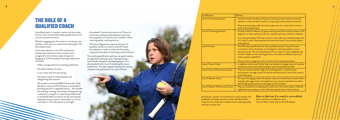At all levels, coaches are trained how to coach people with disabilities and adapt sessions to meet individual needs. They are also trained how to deliver tennis coaching safely and how to assess risk.

| Qualification                     | Delivery                                                                                                                                                                                                                                                                                                                                                |
|-----------------------------------|---------------------------------------------------------------------------------------------------------------------------------------------------------------------------------------------------------------------------------------------------------------------------------------------------------------------------------------------------------|
| <b>Level 1 Coaching Assistant</b> | - Trained to assist the delivery of group coaching sessions and tennis activity<br>sessions in clubs and tennis centres, schools, park sites and leisure facilities                                                                                                                                                                                     |
|                                   | - They must be acting under the direct supervision of a coach that is at least a<br>Level 2 Accredited coach                                                                                                                                                                                                                                            |
| <b>Level 2 Coaching Assistant</b> | - Trained to lead the delivery of group coaching and tennis activity sessions with<br>beginners in clubs and tennis centres, schools, park sites and leisure facilities                                                                                                                                                                                 |
|                                   | - It is recommended by LTA that a Level 2 work under the umbrella programme<br>of a Level 3 coach where possible and where the Level 3 can provide support<br>and guidance                                                                                                                                                                              |
| Level 3 Coach                     | - The LTA's base qualification for fully qualified coaches. A Level 3 Coach<br>is trained to work with players across beginner and intermediate to more<br>advanced levels. The main development from a Level 2 is that candidates are<br>trained in depth on the coaching process, to be able to skilfully analyse and<br>improve player capabilities. |
|                                   | - They can also manage the work of Level 1 and 2 coaching assistants                                                                                                                                                                                                                                                                                    |
| Level 4 Senior Coach              | - In addition to the Level 3 skills, they are trained to manage a team of coaches<br>and have an advanced understanding of tactical and technical skills                                                                                                                                                                                                |
| Level 4 Senior Performance Coach  | - They are trained to deliver high level coaching skills in a performance<br>environment, manage a team of coaches and know how to work with national<br>level U14 players                                                                                                                                                                              |
| Level 5 Master Coach              | On top of managing a team of coaches, they are trained how to mentor them,<br>manage club programmes and implement new structures/products as well as<br>deliver high quality sessions to all types of club members                                                                                                                                     |
| Level 5 Master Performance Coach  | - They are trained how to develop the 'performer' and 'tennis player' of British<br>high performance players, from U14 international level to Futures level                                                                                                                                                                                             |

#### *How to find out if a coach is accredited;* Ask to see their accreditation card Use the 'find a coach' tool on the LTA website

- Accredited+ Coaches also commit to 15 hours of continuous professional development each year ensuring peace of mind that your members will be receiving quality coaching services
- LTA Venue Registration requires all Level 2-5 qualified coaches at a club to hold LTA Coach Accreditation in order to help raise the quality, enjoyment and safety of coaching in tennis facilities.

The coaching qualification pathway can guide coaches through their coaching career, from becoming a tennis leader through to developing players to an elite standard with a Level 5 master performance qualification. The table opposite outlines the training standards and qualifications for each LTA level.

# THE ROLE OF A QUALIFIED COACH

A qualified coach is a teacher, mentor and role model for your club, and ultimately helps people discover and nurture a passion for tennis.

Whether engaging your first coach or recruiting a new member to the team, we recommend selecting an LTA Accredited Coach.

Coach Accreditation is the LTA's professional membership scheme for tennis coaches and is recognised as the industry stamp of approval. Engaging an LTA Accredited Coach guarantees that the coach:

- Holds a recognised tennis coaching qualification
- Has public liability insurance
- Is up to date with first aid training
- Has been trained in child protection and safeguarding best practice
- Has passed an enhanced DBS Check and/or Child Barred list check (or PVG Scheme in Scotland), if providing services in regulated activity - this includes the teaching, training, instructing, coaching, driving a vehicle for, caring for or supervising children and/ or protected adults carried out by the same person frequently (once a week or more often), or on 4 or more days in a 30-day period, or overnight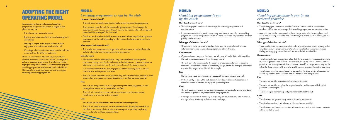### ADOPTING THE RIGHT OPERATING MODEL

An engaging, inclusive and practical coaching programme can play a vital role in all stages of the player journey by:

- Introducing new players to tennis
- Helping new players settle in to the club and grow in confidence
- Helping to improve the player and retain their enjoyment and satisfaction levels at the club
- Creating a vibrant social atmosphere at the club that is relevant for the different audiences

There are a number of different ways in which the club can work with a coach (or coaches) to design and deliver a coaching programme. The following section highlights the pros and cons of the three most popular coaching programme models used by clubs in Britain. This may also provide new ideas for restructuring or reviewing an existing programme.

- This model is more common in larger clubs with volunteer or paid staff with the skills to administer and manage a coaching programme.

### MODEL A:

### *Coaching programme is run by the club*

#### **How does the model work?**

- More commercially-orientated clubs using this model tend to charge their coaches an hourly court fee for delivering individual lessons – this can provide an additional revenue stream for the club, but will impact the coach's income
- It is recommended that the club engages one of the coaching team as a head coach to lead and represent the team
- The club should consider how to retain quality, motivated coaches bearing in mind their performance does not have a direct impact on their personal income.
- The club plans, schedules, administers and markets the coaching programme
- The customers pay the club for the coaching programme. The club pays the coaches/administrators an agreed hourly rate for services or salary (if it is agreed they should be employed) for their work
- Coaches can also deliver individual lessons as required and be paid directly by the customer or by the club, depending on the relationship between the coach and the club

#### **What type of club does this suit?**

#### **Considerations**

#### **Pros**

- The club has the potential to make significant profit if the programme is wellmanaged and payments to the coaches are fixed
- The club will have direct contact with the customers, so they can ensure membership is promoted and encouraged

#### **Cons**

- In most cases within this model, the money paid by customers for the coaching programme sessions are paid directly to the head coach and any assistants are then paid by the head coach.

- This model entails considerable administration and management
- The club will need to ensure it has the personnel with the appropriate skills to handle this necessary administration and management, possibly employing someone to take on these responsibilities.

### MODEL C:

### *Coaching programme is run by an external provider*

#### **How does the model work?**

- The club engages an external provider (such as a tennis services company or another club) to plan and manage their coaching programme and administration
- Money is paid by the customer directly to the provider who then supplies a head coach and coaching assistants. The provider pays all of the coaches working on the programme.

#### **What type of club does this suit?**

- This model is more common in smaller clubs where there is a lack of suitably skilled volunteers to run a programme, and/or where the club has encountered issues finding and engaging a suitable coach because of their location/size.

#### **Considerations**

- The club may be able to negotiate a fee that the provider pays to access the courts in order to generate some income for the club. However, because there is a third party involved in the process (club – provider – coach), some providers may not be willing to do so because of the smaller profit margins associated with this approach
- The club can specify a named coach to be supplied for the majority of sessions for continuity and this can be written into the contract with the provider.

#### **Pros**

- The external provider undertakes all administrative duties
- The external provider supplies the required coaches and is responsible for their payment and management
- This encourages membership and gets more footfall at the club

#### **Cons**

- The club does not generate any income from the programme
- The club has no direct control over which coaches are provided
- The club does not have direct contact with customers so is unable to communicate with or market to them

### MODEL B:

### *Coaching programme is run by the coach*

#### **How does the model work?**

- The club engages a head coach to manage the coaching programme and administration

#### **What type of club does this suit?**

- This model is more common in smaller clubs where there is a lack of suitable volunteers/personnel to undertake programme administration.

#### **Considerations**

- Option to levy a charge on the head coach for use of the facilities which enables the club to generate income from the programme

- The club can offer incentives to the coach to encourage customers to become members. This could be linked to the facility charge where the charge is reduced if membership targets are achieved, for example

#### **Pros**

- No on-going need for administrative support from volunteers or paid staff

- In the majority of cases, the club does not have to pay the coach/coaches and therefore does not have to put a payroll system in place

#### **Cons**

- The club does not have direct contact with customers (particularly non-members) and does not generate any income from the programme

- Finding a coach with all necessary skills (strong on-court delivery, administrative, managerial and marketing skills) can be a challenge.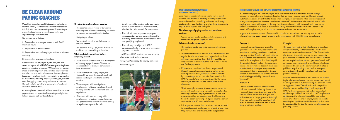# BE CLEAR AROUND PAYING COACHES

Model A is the only model that requires a club to pay coaches directly and there are different methods for this. It is vital that the advantages and disadvantages are understood before proceeding, as each have important legal considerations.

The options are as follows:

i. Pay coaches as employed workers, with fixed/ minimum hours

ii. Pay coaches as casual workers

iii. Pay coaches on a self-employed basis or as a limited company

Paying coaches as employed workers

If the coaches are employed by the club, the club needs to register with HMRC at www.gov.uk/registeremployer to get an employer PAYE reference number ahead of the first payday and provide a payroll service to deduct tax and national insurance from employees (coaches). The club is legally responsible for completing all PAYE tasks, including payroll, providing payslips etc, even if engaging a third party such as an accountant. The club will also be liable to pay employer's national insurance contributions.

As an employee, the coach will also be entitled to other payments such as a pension (depending on eligibility), holiday pay and sick pay (see below).

#### **The advantages of employing coaches**

- The coaches cannot refuse or turn down work required of them, unless they are not fit to work or have agreed holiday booked
- Outgoings are fixed
- Certainty of cover/forward planning for services offered
- It is easier to manage payments if there are multiple coaches working at the club.

#### **What needs to be considered before employing a coach?**

- The club will need to ensure that it is capable of running a payroll service (this can be contracted out to a service company or a local accountant)
- $-$  The club may have to pay employer's  $-$ National Insurance, the cost of which will reduce the budget available to pay the coaches
- The employees will have significant employment rights and the club will need to be up to date with the relevant laws and regulations
- Dismissals will need to comply with employment regulations to avoid disputes and potential employment tribunals leading to legal action against the club

#### PAYING COACHES AS CASUAL WORKERS (ZERO-HOUR CONTRACTS)

In general, there are a number of ways in which a club can work with a coach to try to ensure the relationship would qualify as self-employment in accordance with HMRC, some examples are:

Zero-hour contract workers are also known as casual workers. This method is normally used to pay part-time or occasional/ad-hoc coaching assistants, particularly students who need flexibility and when the club may only require extra support now and again.

#### **The advantages of paying coaches on a zero-hours contract**

- Casual workers can be used as and when needed and there is no obligation to provide work

#### **What needs to be considered?**

- The worker must be able to turn down work without penalty

- This method should not be used if the hours worked are regular, i.e. the same hours on a regular basis, as there will be an argument for them that they could be an employee and this would put the club at risk of claims and further payments

The coach pays to the club a fee for use of the club's equipment/facility and for access to a ready-made customer base (the club members). The fee can be in the form of time and/or money, i.e. you can require your coach to provide the club with a number of hours of coaching/administrative work per week/month and/ or you can charge the coach a fixed fee or a fee based on the court hours used. The way in which this fee is paid is through invoicing as opposed to any agreed payments directly paid by the club which could be perceived as salary.

- Payments to casual workers should be processed through a payroll service, unless the worker is only working for your club (they will need to declare this by completing a starter checklist form found on the HMRC website) and the amounts paid to the worker are likely to be below tax and National Insurance thresholds

- This is a complex area and it is common to encounter issues with the hours being worked by a casual worker including what their employment status is. The club must ensure they are keeping records of how many hours the coach is working - if it goes beyond a certain amount the HMRC must be informed

- It is important to note that casual workers are entitled to be paid accrued holiday pay to reflect the hours that they have worked and this should be budgeted for.

#### PAYING COACHES WHO ARE SELF-EMPLOYED OR OPERATING AS A LIMITED COMPANY

If a coach is engaged on a self-employed basis, this means that they earn their income through working for themselves and charging others for their services. They can work for different people/ clubs/companies and are entitled to decide when they provide services and when they don't (subject to any written agreement between the club and the coach). Whether the relationship is one of selfemployment or not will depend on the way the club actually works with the coach and, to an extent, what documentation is in place. A club cannot simply declare their relationship with a coach to be one of self-employment, so it's important to understand what this term means.

#### **Example 1**

The coach can and does send a suitably qualified coach in his/her place when he/she is unable or unwilling to deliver a scheduled coaching session. The club will need evidence that the coach does actually do this (on an invoice, for example) and that the club paid the scheduled coach and not the substitute coach. This requirement does not mean that substitution has to happen every time the coach cannot deliver a session, but it must happen at least occasionally to show that the service being provided by the coach is not "personal".

#### **Example 2**

There is little to no direct control by the club over the coach delivering the services. The coach determines their own hours, the content of the lessons and manages any assistants used in the programme. Although this would be beneficial for coaches at all levels it is likely a head coach who is most likely to with this method.

#### **Example 3**

It would be best for there to be a contract for services in place between club and coach to ensure that there is no ambiguity and to put into writing the practical terms as suggested above. This will assist with the position that the coach should qualify as self-employed. If HMRC choose to audit a club and its contractual relationships and find that there is no self-employment relationship, the relationship could be deemed as either a "worker" or one of employment, potentially resulting in a significant tax bill for the club that could be backdated to the day the worker/employee started providing services.

- Employees will be entitled to be paid hours stated in their statement of employment, whether the club has work for them or not
- The club will need to provide employees with access to a pension scheme (subject to qualifying conditions and even if there is only one qualifying employee)
- The club may be subject to HMRC compliance checks to ensure it is processing payments correctly.

HMRC and ACAS provide clear and accurate information on the above points:

www.gov.uk/get-ready-to-employ-someone www.acas.org.uk

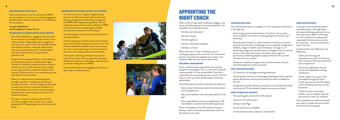#### CHECK EMPLOYMENT STATUS FOR TAX

Clubs and coaches can use this anonymous HMRC service to find out if a worker on a specific engagement should/could be classed as employed or self-employed for tax purposes:

#### www.gov.uk/guidance/ check-employment-status-for-tax

#### THE ADVANTAGES OF ENGAGING COACHES AS SELE-EMPLOYED

- The club has flexibility to engage and pay the coach for as many hours as needed, similar to a zero-hours contract worker. Depending on the arrangement, the coach must submit to the club a detailed invoice with all dates and hours to be paid. Alternatively they may be paid directly by the members/other individuals and the club is no responsible for payment at all.
- A genuine self-employed coach or coach operating as a limited company has no employment rights. The club can therefore usually terminate a contract without any risk of unfair dismissal claims (subject to any notice period or conditions detailed in their contract). Please note this is not necessarily the case with claims for discrimination.
- There is no requirement to process payments through a payroll or to deduct tax and National Insurance at source – the club simply pays the coach on submission of their invoice and thereafter it is the responsibility of the coach or limited company to declare their income and pay any due tax and National Insurance
- The club or customers would pay them for the work they complete with no extra costs involved (potentially VAT depending on how much the coach earns).

#### CONSIDERATIONS FOR ENGAGING COACHES AS SELF-EMPLOYED

- The club must ensure it agrees a legally binding contract with the coach which outlines the precise working arrangements and how they comply with the HMRC self-employment guidelines. This will need to be produced if the club is audited by HMRC and monitored and reviewed regularly. Model contracts can be found on the LTA website
- The self-employed coach cannot be restricted from working elsewhere
- Coaches operating as limited companies will need to ensure that they have adequate insurance cover. The LTA Accredited/Accredited+ coach insurance does not cover a coach operating as a limited company if they have more employees than just themselves.
- If the coach is delivering individual lessons at the club, this may assist with any arguments relating to whether the club/coach relationship is deemed to be one of self-employment by HMRC.
- Care should be taken when engaging a coach who is operating as a limited company.





# APPOINTING THE RIGHT COACH

When a club or head coach is looking to engage a new coach, the following steps are recommended for a fair and effective recruitment process:

- Develop a job description
- Advertise the job
- Shortlist applicants
- Interview shortlisted candidates
- Develop a contract

Please note that if a club is looking to recruit a coaching company for their services, this recruitment process may need to be adapted and, as above, care should be taken with this kind of relationship.

- Check prior learning and achievements on their CV and cover letter to ensure they have the desired level of experience
- Discard any applications that do not have the applicable coaching qualification
- Check whether the coach is LTA Accredited through the 'Find a Coach' directory on the LTA website as this will help ensure they are safe to practice
- Check that their social media profiles, such as LinkedIn, tally with the content of their CV and letter

#### DEVELOPING A JOB DESCRIPTION

Once a model has been selected for the coaching programme (see pages 5-10), it is vital that the specific coaching needs of a club are identified. Once this is understood, the recruitment process can start. The first step is to draw up a clear job description and person specification.

- The job description should include these key elements:
- Team context (information about the club and their aims and objectives)
- Key accountabilities (roles and responsibilities of the job)
- Person specification (minimum qualifications, LTA Accreditation, essential and desirable experience)
- There is a template on the LTA website to help you develop a clear and concise job description which can be tailored to your club.

#### ADVERTISING FOR A COACH

Once the job description is complete, it is then important to advertise it in the right way.

- Avoid using personal contact details in the advert. Use an email account specific to the club or coaching programme (set one up if necessary)
- Eliminate discrimination or unfair treatment on the basis of certain personal characteristics including age, race, sex, gender reassignment, disability, religion or belief, sexual orientation, marriage or civil partnership, pregnancy and maternity, at all stages of the recruitment process. Think about the words in the advert which might be perceived as prohibiting people to apply on the basis of any of the characteristics set out here.
- Always set a deadline for applications and state whether only the shortlisted applicants will be contacted.

#### WHAT TO ASK FOR IN AN ADVERT

- CV (maximum of two pages including references)
- Covering letter (maximum of two pages) detailing how they meet the person specification and why they would be the best candidate for the role
- Qualification and Accreditation certificates, Criminal Records Check certificate (all LTA Accredited Coaches have access to these).

#### WHERE TO PUBLISH THE JOB ADVERT

- The coaching jobs section of the LTA website
- County Council jobs section
- UK Sport Jobs Page
- Social media (such as LinkedIn)
- In club communications, website or noticeboards

#### SHORTLISTING APPLICANTS

Creating an accurate job description and advertising it in the right places will make shortlisting applicants for the role much easier. Before shortlisting, it is vital to decide who is going to be responsible for that process as well as the interviews – we recommend that a panel is formed.

To help shortlist more efficiently and effectively:

Once candidates have been shortlisted, you need to arrange interviews and let them know what to prepare.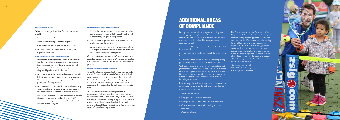

#### INTERVIEWING A COACH

When conducting an interview for coaches, a club should:

- Have at least two interviewers
- Make reasonable adjustments if requested
- Complete both an on- and off-court interview
- Ask each applicant the same competency and experience questions

#### WHAT TO INCLUDE IN AN OFF-COURT INTERVIEW

- Provide the candidates with a topic in advance and ask them to deliver a 5-10 minute presentation (more relevant for Level 3 and above positions). Choose a topic that will provide insight into how they would perform within the role
- Ask competency and situational questions that will help to gain further knowledge on what experience they have in certain areas e.g. administration, promotion of a programme
- Ask questions that are specific to the role (this may vary depending on whether they are employed or self-employed / head coach or assistant coach)
- Ensure that the club/coach do not ask any questions that could contravene the Equality Act 2010, whether indirectly or not, such as their plans to have children or their religion.

#### HOW TO CONDUCT AN ON-COURT INTERVIEW

- Provide the candidates with a lesson topic to deliver for 30 minutes – this should be specific to the sort of lessons they will give in the position
- Draft in some players of a similar standard for the coach to deliver the session to
- Ask an experienced local coach or a member of the LTA Regional Team to observe the session if the club does not feel they have the expertise.
- i. Understand the legal status and review how the club is constituted
- ii. Ensure there is an understanding of the potential tax **liabilities**
- iii. Understand the health and safety and safeguarding procedures that are in place to protect the club
- With this in mind, the LTA's Self-service guide to club governance has been produced to help tennis clubs set excellence in governance, leadership and management. Governance has become a focal point for organisations in both the commercial and not for profit sectors, including tennis clubs.
- Read through this self-service guide to understand how strong governance helps the club and committee to:
- Focus on club priorities
- Meet funding criteria
- Engage a strong team of volunteers
- Manage risk and protect members and volunteers
- Create a sense of community leading to player retention
- Meet compliance

Contact references for further information about the candidate's previous employment/volunteering and let the candidate(s) know if they are successful as soon as possible.

#### DEVELOPING A CONTRACT OR AGREEMENT

After the interview process has been completed and a successful candidate has been informed, the club will need to draw up a contract between the coach and the club. This will depend on the coaching programme model that has been chosen, so make the contract specific to the relationship the club and coach wish to have.

The LTA has developed contract guidance and templates for self-employed and employed coaches, all available on the LTA website. They can be used as a starting point when employing or signing an agreement with a coach. Please remember that clubs should amend and adapt these standard templates to meet the needs of the role and agreement.

# ADDITIONAL AREAS OF COMPLIANCE

During the course of developing and managing your coaching programme, there are three areas for consideration to ensure the club follows best practice and complies with the law. The management or committee should:

For further assistance, the LTA's Legal & Tax Helpline is a helpful first port of call. Designed specifically to provide support to tennis clubs and coaches, the LTA has contracted a leading legal and tax firm to provide independent expert advice to help you in making informed decisions affecting your club and coaching programme. This helpline provides you with a free 30-minute legal and tax advice service, after which you can pay for additional support at fixed fees agreed with the LTA on behalf of tennis clubs and coaches.

You simply need to call 03330 433 232 and quote your LTA Registration number.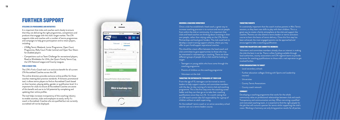# FURTHER SUPPORT

#### UTILISING LTA PROGRAMMES AND INITIATIVES

It is important that clubs and coaches work closely to ensure that they are delivering the right programmes, competitions and products that engage with the club's target market. The LTA supports clubs and coaches with a number of tennis programmes and campaigns to help grow participation and to retain players, including:

- LTABig Tennis Weekend, Junior Programme, Open Court Programme, Rally Court Finder (online) and Open Your Doors for disabled players
- Competitions such as Team Challenge for recreational players, Road to Wimbledon for U14s, the Quorn Family Tennis Cup, the LTA National League and County Leagues.

#### FIND A COACH TOOL

The LTA's Find a Coach tool is an exclusive benefit for all current LTA Accredited Coaches across the UK.

This online directory provides exclusive online profiles for those coaches meeting best practice standards. A fantastic promotional tool, it allows tennis players to find an Accredited Coach based on their location, playing ability, gender or qualification level. It is important for clubs to ensure all Accredited Coaches are aware of this benefit and use to its full potential by completing and updating their online profiles.

The tool helps increases transparency of the coaching industry to enable counties, clubs and employers to easily verify if a coach is Accredited. Coaches who are qualified but not currently accredited will not be displayed.



#### GROWING A COACHING WORKFORCE

It is extremely important that the coach involves parents in Mini Tennis sessions, as they learn new skills to play with their children. This is a great way to create a family atmosphere at the club and support the coaches. Parents can also attend a tennis leaders or tennis activators course to learn the basics of tennis delivery. Once this first step has been achieved, the most engaged parents can be approached and encouraged to take a coaching qualification.

Once a club has established a head coach, a great way to increase coaching provision is to nurture and recruit people from within the club or community. It is important that clubs and head coaches are thinking about investing in their own people, rather than relying solely on the LTA, Active Partnerships and local grant funders. The club could look to develop a coach training support scheme, where you may offer to part fund/support aspirational coaches.

This should be a team effort between the head coach and club committee to give opportunities to those who may be interested in volunteering or coaching. There are three different groups of people that a club could be looking to target:

- Teenagers or young adults who have come through the coaching programme
- Parents of children on the coaching programme
- $\sim$  Volunteers at the club-

#### TARGETING THE ENTHUSIASTIC TEENAGERS AT YOUR CLUB

From the age of 13, teenagers can be trained as tennis leaders to help support coaches and committee members with the day-to-day running of a tennis club and coaching programme. This is the first step onto the coaching career ladder and they can then go on to take their coaching qualifications once they turn 16. It is worth noting that an U18 coach cannot take full responsibility for a group of children without an adult supervising.

An Accredited+ tennis coach or an active secondary school teacher can run a tennis leaders course.

#### TARGETING PARENTS

#### TARGETING VOLUNTEERS AND COMMITTEE MEMBERS

Volunteers and committee members already show an interest in making the club the best it can be. There is often funding available through local authorities, county associations and LTA regional teams to provide bursaries for coaching qualifications to those with a real aspiration to get involved further.

#### OTHER ORGANISATIONS TO TARGET

- Local secondary schools
- Further education colleges (linking with Sports and Leadership courses)
- Universities
- County Tennis Associations
- County coach network

#### **SUMMARY**

Developing a coaching programme that works for the whole community relies on professional relationships between club and coach. Transparency and communication are key. When recruiting a qualified and motivated coaching team, it is essential to find the right people for the job that will nurture a passion for tennis whilst supporting the club's vision. Working in harmony can only bring positive results for all parties.